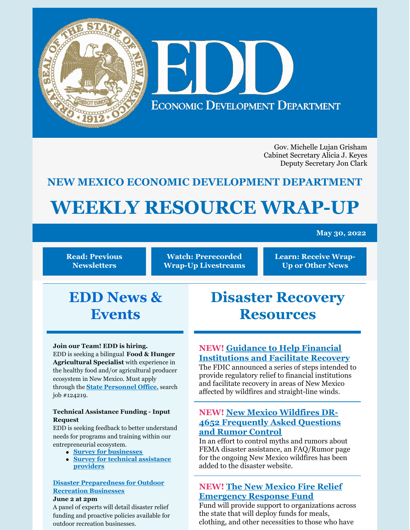

Gov. Michelle Lujan Grisham Cabinet Secretary Alicia J. Keyes Deputy Secretary Jon Clark

# **NEW MEXICO ECONOMIC DEVELOPMENT DEPARTMENT**

# **WEEKLY RESOURCE WRAP-UP**

#### **May 30, 2022**

**Read: Previous [Newsletters](https://edd.newmexico.gov/business-development/stay-informed-newsletters-and-webinars/)**

**Watch: [Prerecorded](https://youtube.com/playlist?list=PLGKR-UpukkDLaIt7LYfG78X31Y3qDftkz) Wrap-Up Livestreams**

**Learn: [Receive](https://edd.newmexico.gov/newsletter/) Wrap-Up or Other News**

# **EDD News & Events**

#### **Join our Team! EDD is hiring.**

EDD is seeking a bilingual **Food & Hunger Agricultural Specialist** with experience in the healthy food and/or agricultural producer ecosystem in New Mexico. Must apply through the **State [Personnel](https://careers.share.state.nm.us/) Office**, search job #124219.

#### **Technical Assistance Funding - Input Request**

EDD is seeking feedback to better understand needs for programs and training within our entrepreneurial ecosystem.

- **Survey for [businesses](https://www.tfaforms.com/4978601)**
- **Survey for technical [assistance](https://www.tfaforms.com/4982960) [providers](https://www.tfaforms.com/4982960)**

#### **Disaster [Preparedness](https://zoom.us/w/99984018703?tk=9O1XEdXScw0j1b3mwG0R4qKDa6G8o9BgBNcfgaJ3smc.DQMAAAAXR4MNDxZVbE9ZWm5BalRXMnVycldMOE43b2NnAAAAAAAAAAAAAAAAAAAAAAAAAAAAAA&uuid=WN_rznbWlgJS9Wi3pvQIAXBrQ) for Outdoor Recreation Businesses**

#### **June 2 at 2pm**

A panel of experts will detail disaster relief funding and proactive policies available for outdoor recreation businesses.

# **Disaster Recovery Resources**

# **NEW! Guidance to Help Financial [Institutions](https://www.fdic.gov/news/financial-institution-letters/2022/fil22019.html#guidance) and Facilitate Recovery**

The FDIC announced a series of steps intended to provide regulatory relief to financial institutions and facilitate recovery in areas of New Mexico affected by wildfires and straight-line winds.

### **NEW! New Mexico Wildfires DR-4652 [Frequently](https://www.fema.gov/disaster/4652/faq-rumor) Asked Questions and Rumor Control**

In an effort to control myths and rumors about FEMA disaster assistance, an FAQ/Rumor page for the ongoing New Mexico wildfires has been added to the disaster website.

# **NEW! The New Mexico Fire Relief [Emergency](https://albuquerquecf.fcsuite.com/erp/donate/create?funit_id=4333) Response Fund**

Fund will provide support to organizations across the state that will deploy funds for meals, clothing, and other necessities to those who have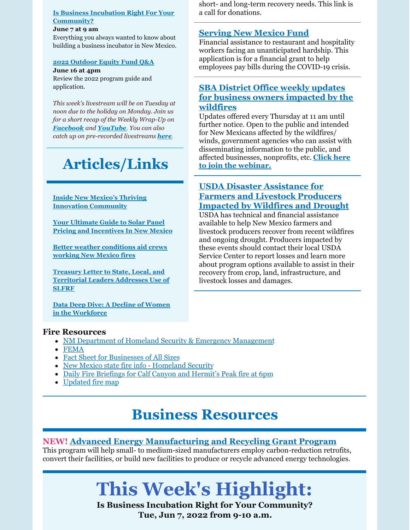#### **Is Business Incubation Right For Your [Community?](https://register.gotowebinar.com/register/2425585746158013965)**

#### **June 7 at 9 am**

Everything you always wanted to know about building a business incubator in New Mexico.

#### **2022 [Outdoor](https://www.nmoutside.com/outdoor-recreation-events) Equity Fund Q&A**

**June 16 at 4pm** Review the 2022 program guide and application.

*This week's livestream will be on Tuesday at noon due to the holiday on Monday. Join us for a short recap of the Weekly Wrap-Up on [Facebook](https://www.facebook.com/NewMexicoEconomicDevelopment/) and [YouTube](https://www.youtube.com/channel/UCEVKlfuuLNl4R0VH6GsxZRQ). You can also catch up on pre-recorded livestreams [here](https://youtube.com/playlist?list=PLGKR-UpukkDLaIt7LYfG78X31Y3qDftkz).*

# **Articles/Links**

#### **Inside New Mexico's Thriving Innovation [Community](https://innotechtoday.com/inside-new-mexicos-thriving-innovation-community/)**

**Your Ultimate Guide to Solar Panel Pricing and [Incentives](https://www.forbes.com/home-improvement/solar/solar-panel-pricing-incentives-new-mexico/) In New Mexico**

**Better weather [conditions](https://www.msn.com/en-us/weather/topstories/better-weather-conditions-aid-crews-working-new-mexico-fires/ar-AAXz337?ocid=BingNewsSearch) aid crews working New Mexico fires**

**Treasury Letter to State, Local, and [Territorial](https://home.treasury.gov/system/files/136/Deputy_Secretary_Adeyemo_Letter_SLFRF_Recipients_2022_5_16.pdf) Leaders Addresses Use of SLFRF**

**Data Deep Dive: A Decline of Women in the [Workforce](https://www.uschamber.com/workforce/data-deep-dive-a-decline-of-women-in-the-workforce)**

# **Fire Resources**

- NM Department of Homeland Security & Emergency [Management](https://www.nmdhsem.org/2022-wildfires/)
- [FEMA](http://www.disasterassistance.gov/)
- Fact Sheet for [Businesses](https://disasterloanassistance.sba.gov/ela/s/article/Fact-Sheet-for-Businesses-of-All-Sizes) of All Sizes
- New Mexico state fire info [Homeland](https://www.facebook.com/NewMexicoDHSEM) Security
- Daily Fire [Briefings](https://www.facebook.com/CalfCanyonHermitsPeak/) for Calf Canyon and Hermit's Peak fire at 6pm
- [Updated](https://edac.maps.arcgis.com/apps/webappviewer/index.html?id=4cabea6542b34d029d401628690be8c3) fire map

# **Business Resources**

# **NEW! Advanced Energy [Manufacturing](https://www.energy.gov/eere/articles/us-department-energy-offers-targeted-technical-assistance-manufacturers-former-coal) and Recycling Grant Program**

This program will help small- to medium-sized manufacturers employ carbon-reduction retrofits, convert their facilities, or build new facilities to produce or recycle advanced energy technologies.

# **This Week's Highlight:**

**Is Business Incubation Right for Your Community? Tue, Jun 7, 2022 from 9-10 a.m.**

short- and long-term recovery needs. This link is a call for donations.

# **[Serving](https://www.surveymonkey.com/r/servNMApp) New Mexico Fund**

Financial assistance to restaurant and hospitality workers facing an unanticipated hardship. This application is for a financial grant to help employees pay bills during the COVID-19 crisis.

# **SBA District Office weekly updates for business owners [impacted](https://www.sba.gov/offices/district/nm/albuquerque?utm_medium=email&utm_source=govdelivery) by the wildfires**

Updates offered every Thursday at 11 am until further notice. Open to the public and intended for New Mexicans affected by the wildfires/ winds, government agencies who can assist with disseminating information to the public, and affected [businesses,](https://teams.microsoft.com/dl/launcher/launcher.html?url=%2F_%23%2Fl%2Fmeetup-join%2F19%3Ameeting_MTFkM2IyZDUtY2U0NC00ODdlLWE1ZjMtODdhNjVhYzVlNjZh%40thread.v2%2F0%3Fcontext%3D%257B%2522Tid%2522%253A%25223c89fd8a-7f68-4667-aa15-41ebf2208961%2522%252C%2522Oid%2522%253A%252203294e47-5844-411f-b8d1-822d7fb3f79d%2522%257D%26utm_medium%3Demail%26utm_source%3Dgovdelivery%26anon%3Dtrue&type=meetup-join&deeplinkId=8b5a8290-313b-4d3d-8084-79baa4010d9e&directDl=true&msLaunch=true&enableMobilePage=false&suppressPrompt=true) nonprofits, etc. **Click here to join the webinar.**

### **USDA Disaster [Assistance](https://www.fsa.usda.gov/state-offices/New-Mexico/news-releases/2022/usda-offers-disaster-assistance-to-new-mexico-farmers-and-livestock-producers-impacted-by-wildfires-and-drought-?utm_medium=email&utm_source=govdelivery) for Farmers and Livestock Producers Impacted by Wildfires and Drought**

USDA has technical and financial assistance available to help New Mexico farmers and livestock producers recover from recent wildfires and ongoing drought. Producers impacted by these events should contact their local USDA Service Center to report losses and learn more about program options available to assist in their recovery from crop, land, infrastructure, and livestock losses and damages.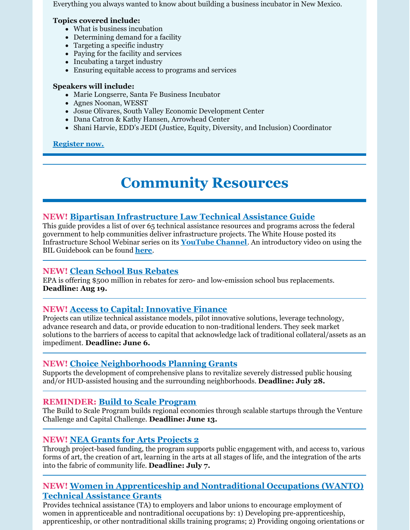Everything you always wanted to know about building a business incubator in New Mexico.

#### **Topics covered include:**

- What is business incubation
- Determining demand for a facility
- Targeting a specific industry
- Paying for the facility and services
- Incubating a target industry
- Ensuring equitable access to programs and services

#### **Speakers will include:**

- Marie Longserre, Santa Fe Business Incubator
- Agnes Noonan, WESST
- Josue Olivares, South Valley Economic Development Center
- Dana Catron & Kathy Hansen, Arrowhead Center
- Shani Harvie, EDD's JEDI (Justice, Equity, Diversity, and Inclusion) Coordinator

#### **[Register](https://register.gotowebinar.com/register/2425585746158013965) now.**

# **Community Resources**

# **NEW! Bipartisan [Infrastructure](https://www.whitehouse.gov/wp-content/uploads/2022/05/Infrastructure-Technical-Assistance-Guide_FINAL2.pdf) Law Technical Assistance Guide**

This guide provides a list of over 65 technical assistance resources and programs across the federal government to help communities deliver infrastructure projects. The White House posted its Infrastructure School Webinar series on its **[YouTube](https://www.youtube.com/c/WhiteHouse) Channel**. An introductory video on using the BIL Guidebook can be found **[here](https://youtu.be/b8qdnj1O94A)**.

#### **NEW! Clean School Bus [Rebates](https://www.epa.gov/cleanschoolbus/school-bus-rebates-clean-school-bus-program)**

EPA is offering \$500 million in rebates for zero- and low-emission school bus replacements. **Deadline: Aug 19.**

# **NEW! Access to Capital: [Innovative](https://www.grants.gov/web/grants/view-opportunity.html?oppId=340105) Finance**

Projects can utilize technical assistance models, pilot innovative solutions, leverage technology, advance research and data, or provide education to non-traditional lenders. They seek market solutions to the barriers of access to capital that acknowledge lack of traditional collateral/assets as an impediment. **Deadline: June 6.**

# **NEW! Choice [Neighborhoods](https://www.grants.gov/web/grants/view-opportunity.html?oppId=340208) Planning Grants**

Supports the development of comprehensive plans to revitalize severely distressed public housing and/or HUD-assisted housing and the surrounding neighborhoods. **Deadline: July 28.**

# **REMINDER: Build to Scale [Program](https://eda.gov/files/oie/b2s/fy22/FY22-Build-to-Scale-NOFO.pdf)**

The Build to Scale Program builds regional economies through scalable startups through the Venture Challenge and Capital Challenge. **Deadline: June 13.**

#### **NEW! NEA Grants for Arts [Projects](https://www.grants.gov/web/grants/view-opportunity.html?oppId=340235) 2**

Through project-based funding, the program supports public engagement with, and access to, various forms of art, the creation of art, learning in the arts at all stages of life, and the integration of the arts into the fabric of community life. **Deadline: July 7.**

# **NEW! Women in [Apprenticeship](https://www.grants.gov/web/grants/view-opportunity.html?oppId=340246) and Nontraditional Occupations (WANTO) Technical Assistance Grants**

Provides technical assistance (TA) to employers and labor unions to encourage employment of women in apprenticeable and nontraditional occupations by: 1) Developing pre-apprenticeship, apprenticeship, or other nontraditional skills training programs; 2) Providing ongoing orientations or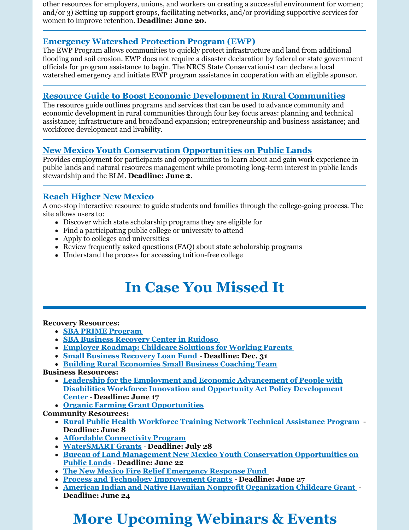other resources for employers, unions, and workers on creating a successful environment for women; and/or 3) Setting up support groups, facilitating networks, and/or providing supportive services for women to improve retention. **Deadline: June 20.**

# **[Emergency](https://www.nrcs.usda.gov/wps/portal/nrcs/main/national/programs/landscape/ewpp/) Watershed Protection Program (EWP)**

The EWP Program allows communities to quickly protect infrastructure and land from additional flooding and soil erosion. EWP does not require a disaster declaration by federal or state government officials for program assistance to begin. The NRCS State Conservationist can declare a local watershed emergency and initiate EWP program assistance in cooperation with an eligible sponsor.

# **Resource Guide to Boost Economic Development in Rural [Communities](https://www.rd.usda.gov/sites/default/files/508F_RD_EDA_JointPlanningResourceGuide.pdf)**

The resource guide outlines programs and services that can be used to advance community and economic development in rural communities through four key focus areas: planning and technical assistance; infrastructure and broadband expansion; entrepreneurship and business assistance; and workforce development and livability.

# **New Mexico Youth Conservation [Opportunities](https://www.grants.gov/web/grants/view-opportunity.html?oppId=339979) on Public Lands**

Provides employment for participants and opportunities to learn about and gain work experience in public lands and natural resources management while promoting long-term interest in public lands stewardship and the BLM. **Deadline: June 2.**

# **Reach [Higher](https://www.reachhighernm.com/) New Mexico**

A one-stop interactive resource to guide students and families through the college-going process. The site allows users to:

- Discover which state scholarship programs they are eligible for
- Find a participating public college or university to attend
- Apply to colleges and universities
- Review frequently asked questions (FAQ) about state scholarship programs
- Understand the process for accessing tuition-free college

# **In Case You Missed It**

#### **Recovery Resources:**

- **SBA PRIME [Program](https://www.prestamosloans.org/sba-prime-program/?msclkid=969f670ad12911ecb68b0ed815ed99d0)**
- **SBA Business [Recovery](https://www.sba.gov/article/2022/may/10/sba-open-business-recovery-center-ruidoso-help-businesses-impacted-wildfires-straight-line-winds) Center in Ruidoso**
- **Employer [Roadmap:](https://www.uschamber.com/workforce/employer-roadmap-childcare-solutions-for-working-parents?utm_campaign=2022 AB Test&utm_medium=email&_hsmi=212015829&_hsenc=p2ANqtz-9pvyVAIrSBm6T5m0m2Nmzr7VE_93qEEcrTK_69AkSAkPN3uQgqWxgmM2MEcgY7ttZmmGxn9CSJ4_Jz4aHd7qkjjdynaaLmOwAgaO83BjuAvvoU18I&utm_content=212015829&utm_source=hs_email) Childcare Solutions for Working Parents**
- **Small Business [Recovery](https://www.nmfinance.com/small-business-recovery-loan-fund-2021/) Loan Fund Deadline: Dec. 31**
- **Building Rural [Economies](https://www.rcac.org/community-economic-development/building-rural-economies/small-business-coaching/) Small Business Coaching Team**

**Business Resources:**

- **Leadership for the Employment and Economic [Advancement](https://www.grants.gov/web/grants/view-opportunity.html?oppId=337722) of People with Disabilities Workforce Innovation and Opportunity Act Policy Development Center** - **Deadline: June 17**
- **Organic Farming Grant [Opportunities](https://nmdeptag.nmsu.edu/new-release/2022/grant-funding-available-for-new-mexico-organic-operations.html#:~:text=LAS CRUCES %E2%80%93 Educational grant opportunities are now,organic producers may apply to receive grant scholarships.)**

#### **Community Resources:**

- **Rural Public Health [Workforce](https://www.grants.gov/web/grants/view-opportunity.html?oppId=339531) Training Network Technical Assistance Program Deadline: June 8**
- **Affordable [Connectivity](https://www.whitehouse.gov/getinternet/?utm_source=www.getinternet.gov) Program**
- **[WaterSMART](https://www.grants.gov/web/grants/view-opportunity.html?oppId=339953) Grants Deadline: July 28**
- **Bureau of Land Management New Mexico Youth Conservation [Opportunities](https://www.grants.gov/web/grants/view-opportunity.html?oppId=339979) on Public Lands** - **Deadline: June 22**
- **The New Mexico Fire Relief [Emergency](https://albuquerquecf.fcsuite.com/erp/donate/create?funit_id=4333) Response Fund**
- **Process and Technology [Improvement](https://www.grants.gov/web/grants/view-opportunity.html?oppId=339808) Grants Deadline: June 27**
- **American Indian and Native Hawaiian Nonprofit [Organization](https://www.grants.gov/web/grants/view-opportunity.html?oppId=335555) Childcare Grant Deadline: June 24**

# **More Upcoming Webinars & Events**